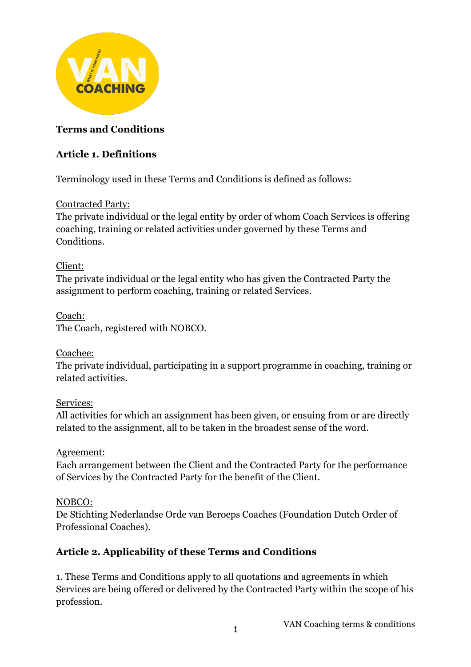

### **Terms and Conditions**

### **Article 1. Definitions**

Terminology used in these Terms and Conditions is defined as follows:

#### Contracted Party:

The private individual or the legal entity by order of whom Coach Services is offering coaching, training or related activities under governed by these Terms and Conditions.

### Client:

The private individual or the legal entity who has given the Contracted Party the assignment to perform coaching, training or related Services.

#### Coach: The Coach, registered with NOBCO.

#### Coachee:

The private individual, participating in a support programme in coaching, training or related activities.

## Services:

All activities for which an assignment has been given, or ensuing from or are directly related to the assignment, all to be taken in the broadest sense of the word.

#### Agreement:

Each arrangement between the Client and the Contracted Party for the performance of Services by the Contracted Party for the benefit of the Client.

## NOBCO:

De Stichting Nederlandse Orde van Beroeps Coaches (Foundation Dutch Order of Professional Coaches).

## **Article 2. Applicability of these Terms and Conditions**

1. These Terms and Conditions apply to all quotations and agreements in which Services are being offered or delivered by the Contracted Party within the scope of his profession.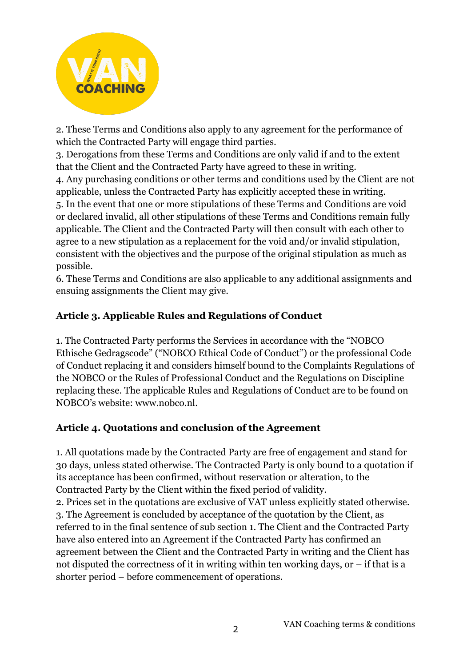

2. These Terms and Conditions also apply to any agreement for the performance of which the Contracted Party will engage third parties.

3. Derogations from these Terms and Conditions are only valid if and to the extent that the Client and the Contracted Party have agreed to these in writing. 4. Any purchasing conditions or other terms and conditions used by the Client are not applicable, unless the Contracted Party has explicitly accepted these in writing. 5. In the event that one or more stipulations of these Terms and Conditions are void or declared invalid, all other stipulations of these Terms and Conditions remain fully applicable. The Client and the Contracted Party will then consult with each other to agree to a new stipulation as a replacement for the void and/or invalid stipulation, consistent with the objectives and the purpose of the original stipulation as much as possible.

6. These Terms and Conditions are also applicable to any additional assignments and ensuing assignments the Client may give.

## **Article 3. Applicable Rules and Regulations of Conduct**

1. The Contracted Party performs the Services in accordance with the "NOBCO Ethische Gedragscode" ("NOBCO Ethical Code of Conduct") or the professional Code of Conduct replacing it and considers himself bound to the Complaints Regulations of the NOBCO or the Rules of Professional Conduct and the Regulations on Discipline replacing these. The applicable Rules and Regulations of Conduct are to be found on NOBCO's website: www.nobco.nl.

## **Article 4. Quotations and conclusion of the Agreement**

1. All quotations made by the Contracted Party are free of engagement and stand for 30 days, unless stated otherwise. The Contracted Party is only bound to a quotation if its acceptance has been confirmed, without reservation or alteration, to the Contracted Party by the Client within the fixed period of validity. 2. Prices set in the quotations are exclusive of VAT unless explicitly stated otherwise. 3. The Agreement is concluded by acceptance of the quotation by the Client, as referred to in the final sentence of sub section 1. The Client and the Contracted Party have also entered into an Agreement if the Contracted Party has confirmed an agreement between the Client and the Contracted Party in writing and the Client has not disputed the correctness of it in writing within ten working days, or – if that is a shorter period – before commencement of operations.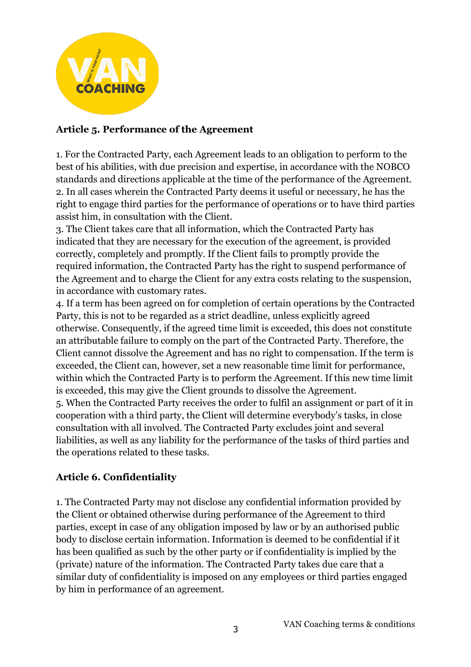

#### **Article 5. Performance of the Agreement**

1. For the Contracted Party, each Agreement leads to an obligation to perform to the best of his abilities, with due precision and expertise, in accordance with the NOBCO standards and directions applicable at the time of the performance of the Agreement. 2. In all cases wherein the Contracted Party deems it useful or necessary, he has the right to engage third parties for the performance of operations or to have third parties assist him, in consultation with the Client.

3. The Client takes care that all information, which the Contracted Party has indicated that they are necessary for the execution of the agreement, is provided correctly, completely and promptly. If the Client fails to promptly provide the required information, the Contracted Party has the right to suspend performance of the Agreement and to charge the Client for any extra costs relating to the suspension, in accordance with customary rates.

4. If a term has been agreed on for completion of certain operations by the Contracted Party, this is not to be regarded as a strict deadline, unless explicitly agreed otherwise. Consequently, if the agreed time limit is exceeded, this does not constitute an attributable failure to comply on the part of the Contracted Party. Therefore, the Client cannot dissolve the Agreement and has no right to compensation. If the term is exceeded, the Client can, however, set a new reasonable time limit for performance, within which the Contracted Party is to perform the Agreement. If this new time limit is exceeded, this may give the Client grounds to dissolve the Agreement. 5. When the Contracted Party receives the order to fulfil an assignment or part of it in cooperation with a third party, the Client will determine everybody's tasks, in close consultation with all involved. The Contracted Party excludes joint and several liabilities, as well as any liability for the performance of the tasks of third parties and the operations related to these tasks.

## **Article 6. Confidentiality**

1. The Contracted Party may not disclose any confidential information provided by the Client or obtained otherwise during performance of the Agreement to third parties, except in case of any obligation imposed by law or by an authorised public body to disclose certain information. Information is deemed to be confidential if it has been qualified as such by the other party or if confidentiality is implied by the (private) nature of the information. The Contracted Party takes due care that a similar duty of confidentiality is imposed on any employees or third parties engaged by him in performance of an agreement.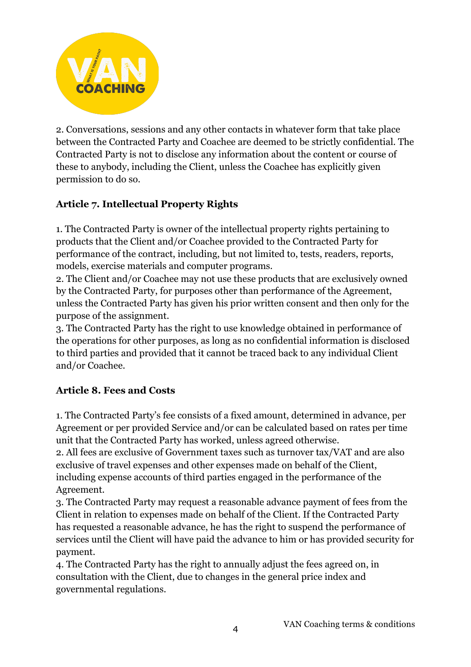

2. Conversations, sessions and any other contacts in whatever form that take place between the Contracted Party and Coachee are deemed to be strictly confidential. The Contracted Party is not to disclose any information about the content or course of these to anybody, including the Client, unless the Coachee has explicitly given permission to do so.

# **Article 7. Intellectual Property Rights**

1. The Contracted Party is owner of the intellectual property rights pertaining to products that the Client and/or Coachee provided to the Contracted Party for performance of the contract, including, but not limited to, tests, readers, reports, models, exercise materials and computer programs.

2. The Client and/or Coachee may not use these products that are exclusively owned by the Contracted Party, for purposes other than performance of the Agreement, unless the Contracted Party has given his prior written consent and then only for the purpose of the assignment.

3. The Contracted Party has the right to use knowledge obtained in performance of the operations for other purposes, as long as no confidential information is disclosed to third parties and provided that it cannot be traced back to any individual Client and/or Coachee.

## **Article 8. Fees and Costs**

1. The Contracted Party's fee consists of a fixed amount, determined in advance, per Agreement or per provided Service and/or can be calculated based on rates per time unit that the Contracted Party has worked, unless agreed otherwise.

2. All fees are exclusive of Government taxes such as turnover tax/VAT and are also exclusive of travel expenses and other expenses made on behalf of the Client, including expense accounts of third parties engaged in the performance of the Agreement.

3. The Contracted Party may request a reasonable advance payment of fees from the Client in relation to expenses made on behalf of the Client. If the Contracted Party has requested a reasonable advance, he has the right to suspend the performance of services until the Client will have paid the advance to him or has provided security for payment.

4. The Contracted Party has the right to annually adjust the fees agreed on, in consultation with the Client, due to changes in the general price index and governmental regulations.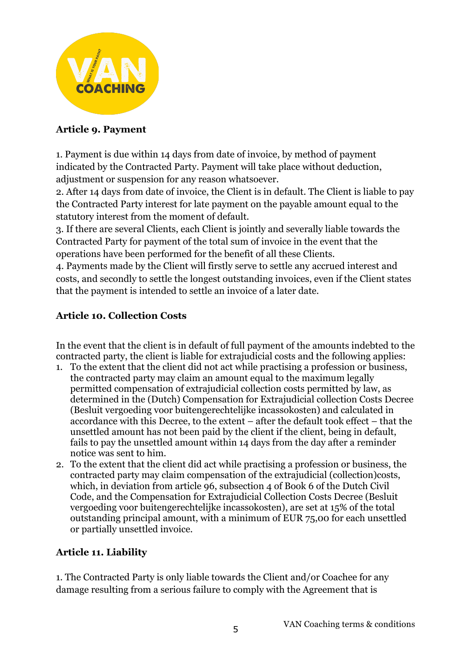

#### **Article 9. Payment**

1. Payment is due within 14 days from date of invoice, by method of payment indicated by the Contracted Party. Payment will take place without deduction, adjustment or suspension for any reason whatsoever.

2. After 14 days from date of invoice, the Client is in default. The Client is liable to pay the Contracted Party interest for late payment on the payable amount equal to the statutory interest from the moment of default.

3. If there are several Clients, each Client is jointly and severally liable towards the Contracted Party for payment of the total sum of invoice in the event that the operations have been performed for the benefit of all these Clients.

4. Payments made by the Client will firstly serve to settle any accrued interest and costs, and secondly to settle the longest outstanding invoices, even if the Client states that the payment is intended to settle an invoice of a later date.

#### **Article 10. Collection Costs**

In the event that the client is in default of full payment of the amounts indebted to the contracted party, the client is liable for extrajudicial costs and the following applies:

- 1. To the extent that the client did not act while practising a profession or business, the contracted party may claim an amount equal to the maximum legally permitted compensation of extrajudicial collection costs permitted by law, as determined in the (Dutch) Compensation for Extrajudicial collection Costs Decree (Besluit vergoeding voor buitengerechtelijke incassokosten) and calculated in accordance with this Decree, to the extent – after the default took effect – that the unsettled amount has not been paid by the client if the client, being in default, fails to pay the unsettled amount within 14 days from the day after a reminder notice was sent to him.
- 2. To the extent that the client did act while practising a profession or business, the contracted party may claim compensation of the extrajudicial (collection)costs, which, in deviation from article 96, subsection 4 of Book 6 of the Dutch Civil Code, and the Compensation for Extrajudicial Collection Costs Decree (Besluit vergoeding voor buitengerechtelijke incassokosten), are set at 15% of the total outstanding principal amount, with a minimum of EUR 75,00 for each unsettled or partially unsettled invoice.

## **Article 11. Liability**

1. The Contracted Party is only liable towards the Client and/or Coachee for any damage resulting from a serious failure to comply with the Agreement that is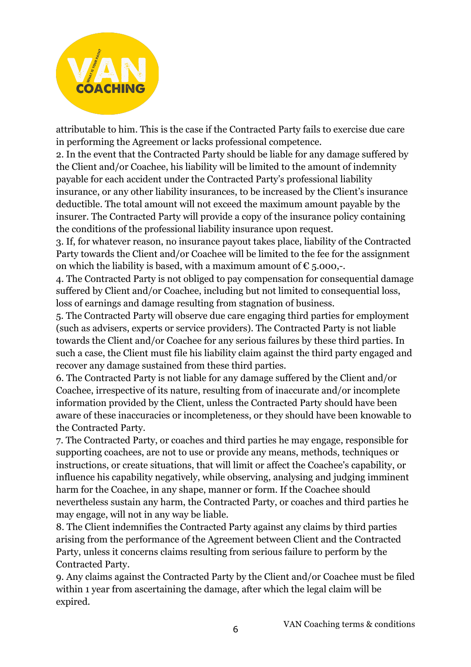

attributable to him. This is the case if the Contracted Party fails to exercise due care in performing the Agreement or lacks professional competence.

2. In the event that the Contracted Party should be liable for any damage suffered by the Client and/or Coachee, his liability will be limited to the amount of indemnity payable for each accident under the Contracted Party's professional liability insurance, or any other liability insurances, to be increased by the Client's insurance deductible. The total amount will not exceed the maximum amount payable by the insurer. The Contracted Party will provide a copy of the insurance policy containing the conditions of the professional liability insurance upon request.

3. If, for whatever reason, no insurance payout takes place, liability of the Contracted Party towards the Client and/or Coachee will be limited to the fee for the assignment on which the liability is based, with a maximum amount of  $\epsilon$  5.000,-

4. The Contracted Party is not obliged to pay compensation for consequential damage suffered by Client and/or Coachee, including but not limited to consequential loss, loss of earnings and damage resulting from stagnation of business.

5. The Contracted Party will observe due care engaging third parties for employment (such as advisers, experts or service providers). The Contracted Party is not liable towards the Client and/or Coachee for any serious failures by these third parties. In such a case, the Client must file his liability claim against the third party engaged and recover any damage sustained from these third parties.

6. The Contracted Party is not liable for any damage suffered by the Client and/or Coachee, irrespective of its nature, resulting from of inaccurate and/or incomplete information provided by the Client, unless the Contracted Party should have been aware of these inaccuracies or incompleteness, or they should have been knowable to the Contracted Party.

7. The Contracted Party, or coaches and third parties he may engage, responsible for supporting coachees, are not to use or provide any means, methods, techniques or instructions, or create situations, that will limit or affect the Coachee's capability, or influence his capability negatively, while observing, analysing and judging imminent harm for the Coachee, in any shape, manner or form. If the Coachee should nevertheless sustain any harm, the Contracted Party, or coaches and third parties he may engage, will not in any way be liable.

8. The Client indemnifies the Contracted Party against any claims by third parties arising from the performance of the Agreement between Client and the Contracted Party, unless it concerns claims resulting from serious failure to perform by the Contracted Party.

9. Any claims against the Contracted Party by the Client and/or Coachee must be filed within 1 year from ascertaining the damage, after which the legal claim will be expired.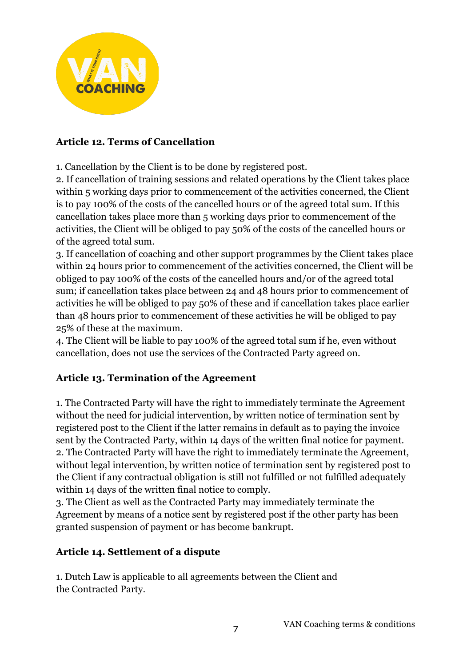

## **Article 12. Terms of Cancellation**

1. Cancellation by the Client is to be done by registered post.

2. If cancellation of training sessions and related operations by the Client takes place within 5 working days prior to commencement of the activities concerned, the Client is to pay 100% of the costs of the cancelled hours or of the agreed total sum. If this cancellation takes place more than 5 working days prior to commencement of the activities, the Client will be obliged to pay 50% of the costs of the cancelled hours or of the agreed total sum.

3. If cancellation of coaching and other support programmes by the Client takes place within 24 hours prior to commencement of the activities concerned, the Client will be obliged to pay 100% of the costs of the cancelled hours and/or of the agreed total sum; if cancellation takes place between 24 and 48 hours prior to commencement of activities he will be obliged to pay 50% of these and if cancellation takes place earlier than 48 hours prior to commencement of these activities he will be obliged to pay 25% of these at the maximum.

4. The Client will be liable to pay 100% of the agreed total sum if he, even without cancellation, does not use the services of the Contracted Party agreed on.

## **Article 13. Termination of the Agreement**

1. The Contracted Party will have the right to immediately terminate the Agreement without the need for judicial intervention, by written notice of termination sent by registered post to the Client if the latter remains in default as to paying the invoice sent by the Contracted Party, within 14 days of the written final notice for payment. 2. The Contracted Party will have the right to immediately terminate the Agreement, without legal intervention, by written notice of termination sent by registered post to the Client if any contractual obligation is still not fulfilled or not fulfilled adequately within 14 days of the written final notice to comply.

3. The Client as well as the Contracted Party may immediately terminate the Agreement by means of a notice sent by registered post if the other party has been granted suspension of payment or has become bankrupt.

## **Article 14. Settlement of a dispute**

1. Dutch Law is applicable to all agreements between the Client and the Contracted Party.